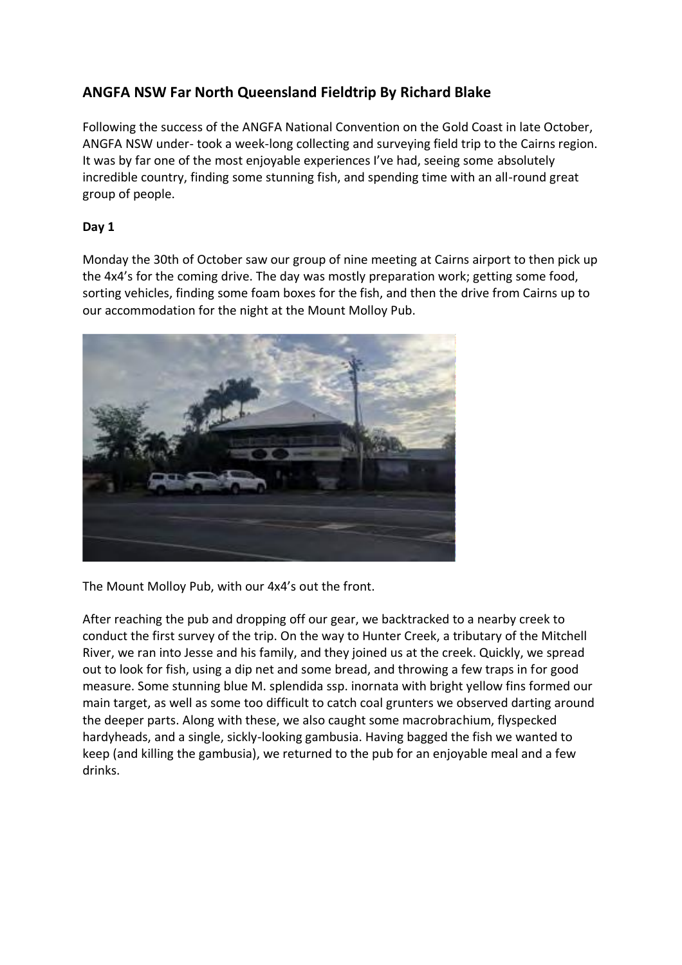# **ANGFA NSW Far North Queensland Fieldtrip By Richard Blake**

Following the success of the ANGFA National Convention on the Gold Coast in late October, ANGFA NSW under- took a week-long collecting and surveying field trip to the Cairns region. It was by far one of the most enjoyable experiences I've had, seeing some absolutely incredible country, finding some stunning fish, and spending time with an all-round great group of people.

## **Day 1**

Monday the 30th of October saw our group of nine meeting at Cairns airport to then pick up the 4x4's for the coming drive. The day was mostly preparation work; getting some food, sorting vehicles, finding some foam boxes for the fish, and then the drive from Cairns up to our accommodation for the night at the Mount Molloy Pub.



The Mount Molloy Pub, with our 4x4's out the front.

After reaching the pub and dropping off our gear, we backtracked to a nearby creek to conduct the first survey of the trip. On the way to Hunter Creek, a tributary of the Mitchell River, we ran into Jesse and his family, and they joined us at the creek. Quickly, we spread out to look for fish, using a dip net and some bread, and throwing a few traps in for good measure. Some stunning blue M. splendida ssp. inornata with bright yellow fins formed our main target, as well as some too difficult to catch coal grunters we observed darting around the deeper parts. Along with these, we also caught some macrobrachium, flyspecked hardyheads, and a single, sickly-looking gambusia. Having bagged the fish we wanted to keep (and killing the gambusia), we returned to the pub for an enjoyable meal and a few drinks.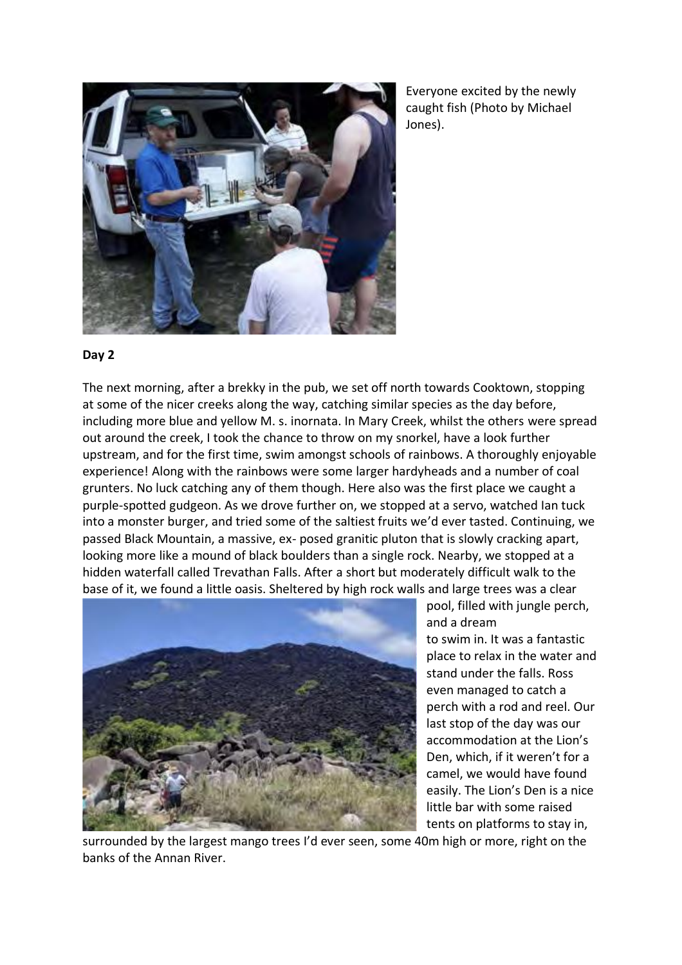Everyone excited by the newly caught fish (Photo by Michael Jones).

### **Day 2**

The next morning, after a brekky in the pub, we set off north towards Cooktown, stopping at some of the nicer creeks along the way, catching similar species as the day before, including more blue and yellow M. s. inornata. In Mary Creek, whilst the others were spread out around the creek, I took the chance to throw on my snorkel, have a look further upstream, and for the first time, swim amongst schools of rainbows. A thoroughly enjoyable experience! Along with the rainbows were some larger hardyheads and a number of coal grunters. No luck catching any of them though. Here also was the first place we caught a purple-spotted gudgeon. As we drove further on, we stopped at a servo, watched Ian tuck into a monster burger, and tried some of the saltiest fruits we'd ever tasted. Continuing, we passed Black Mountain, a massive, ex- posed granitic pluton that is slowly cracking apart, looking more like a mound of black boulders than a single rock. Nearby, we stopped at a hidden waterfall called Trevathan Falls. After a short but moderately difficult walk to the base of it, we found a little oasis. Sheltered by high rock walls and large trees was a clear



pool, filled with jungle perch, and a dream to swim in. It was a fantastic place to relax in the water and stand under the falls. Ross even managed to catch a perch with a rod and reel. Our last stop of the day was our accommodation at the Lion's Den, which, if it weren't for a camel, we would have found easily. The Lion's Den is a nice little bar with some raised tents on platforms to stay in,

surrounded by the largest mango trees I'd ever seen, some 40m high or more, right on the banks of the Annan River.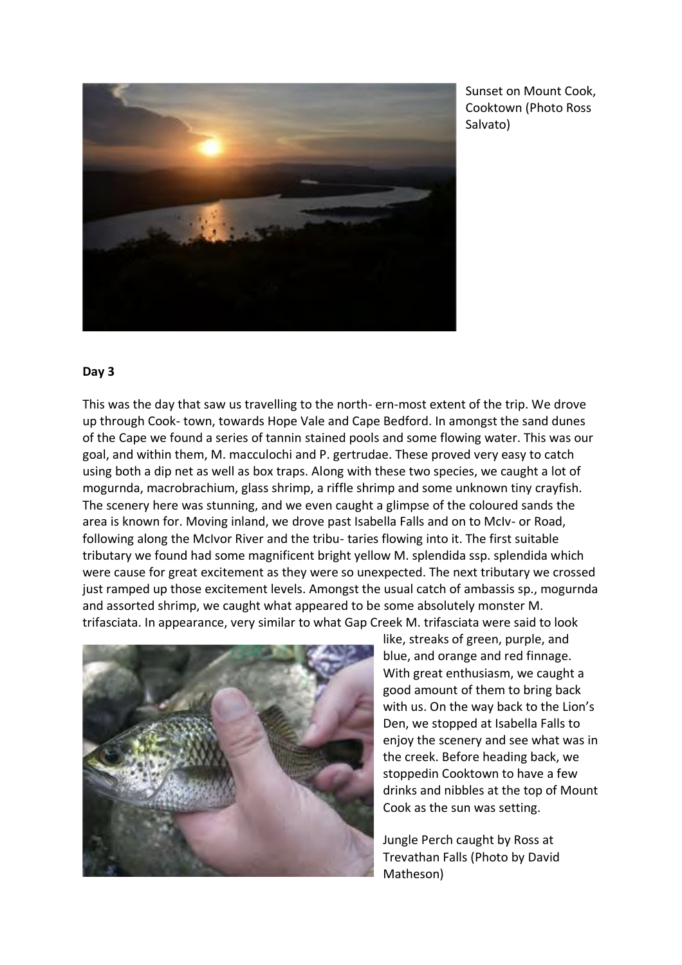

Sunset on Mount Cook, Cooktown (Photo Ross Salvato)

#### **Day 3**

This was the day that saw us travelling to the north- ern-most extent of the trip. We drove up through Cook- town, towards Hope Vale and Cape Bedford. In amongst the sand dunes of the Cape we found a series of tannin stained pools and some flowing water. This was our goal, and within them, M. macculochi and P. gertrudae. These proved very easy to catch using both a dip net as well as box traps. Along with these two species, we caught a lot of mogurnda, macrobrachium, glass shrimp, a riffle shrimp and some unknown tiny crayfish. The scenery here was stunning, and we even caught a glimpse of the coloured sands the area is known for. Moving inland, we drove past Isabella Falls and on to McIv- or Road, following along the McIvor River and the tribu- taries flowing into it. The first suitable tributary we found had some magnificent bright yellow M. splendida ssp. splendida which were cause for great excitement as they were so unexpected. The next tributary we crossed just ramped up those excitement levels. Amongst the usual catch of ambassis sp., mogurnda and assorted shrimp, we caught what appeared to be some absolutely monster M. trifasciata. In appearance, very similar to what Gap Creek M. trifasciata were said to look



like, streaks of green, purple, and blue, and orange and red finnage. With great enthusiasm, we caught a good amount of them to bring back with us. On the way back to the Lion's Den, we stopped at Isabella Falls to enjoy the scenery and see what was in the creek. Before heading back, we stoppedin Cooktown to have a few drinks and nibbles at the top of Mount Cook as the sun was setting.

Jungle Perch caught by Ross at Trevathan Falls (Photo by David Matheson)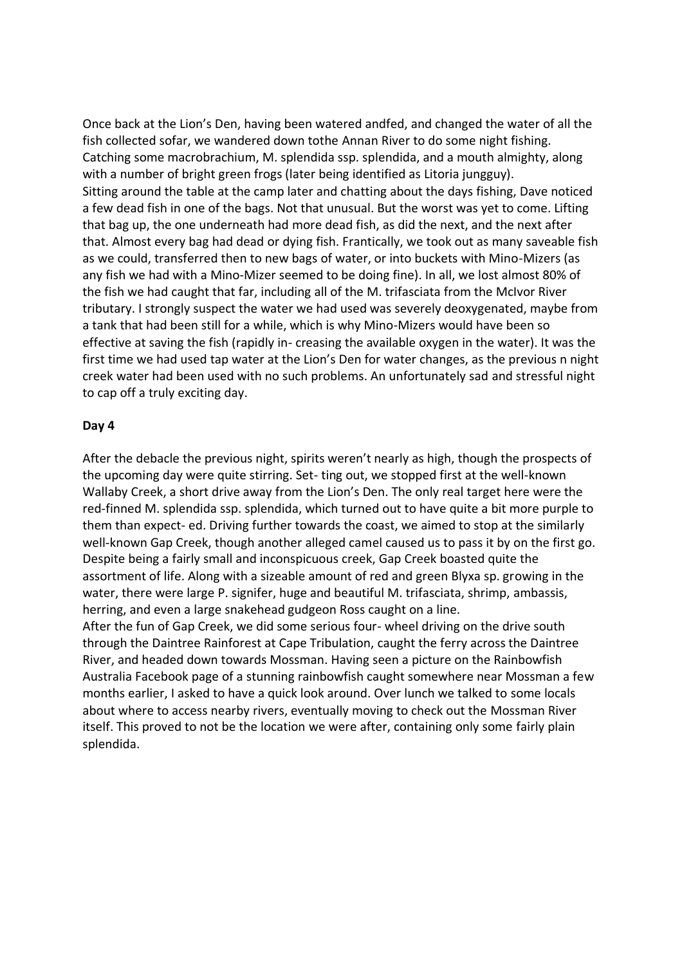Once back at the Lion's Den, having been watered andfed, and changed the water of all the fish collected sofar, we wandered down tothe Annan River to do some night fishing. Catching some macrobrachium, M. splendida ssp. splendida, and a mouth almighty, along with a number of bright green frogs (later being identified as Litoria jungguy). Sitting around the table at the camp later and chatting about the days fishing, Dave noticed a few dead fish in one of the bags. Not that unusual. But the worst was yet to come. Lifting that bag up, the one underneath had more dead fish, as did the next, and the next after that. Almost every bag had dead or dying fish. Frantically, we took out as many saveable fish as we could, transferred then to new bags of water, or into buckets with Mino-Mizers (as any fish we had with a Mino-Mizer seemed to be doing fine). In all, we lost almost 80% of the fish we had caught that far, including all of the M. trifasciata from the McIvor River tributary. I strongly suspect the water we had used was severely deoxygenated, maybe from a tank that had been still for a while, which is why Mino-Mizers would have been so effective at saving the fish (rapidly in- creasing the available oxygen in the water). It was the first time we had used tap water at the Lion's Den for water changes, as the previous n night creek water had been used with no such problems. An unfortunately sad and stressful night to cap off a truly exciting day.

### **Day 4**

After the debacle the previous night, spirits weren't nearly as high, though the prospects of the upcoming day were quite stirring. Set- ting out, we stopped first at the well-known Wallaby Creek, a short drive away from the Lion's Den. The only real target here were the red-finned M. splendida ssp. splendida, which turned out to have quite a bit more purple to them than expect- ed. Driving further towards the coast, we aimed to stop at the similarly well-known Gap Creek, though another alleged camel caused us to pass it by on the first go. Despite being a fairly small and inconspicuous creek, Gap Creek boasted quite the assortment of life. Along with a sizeable amount of red and green Blyxa sp. growing in the water, there were large P. signifer, huge and beautiful M. trifasciata, shrimp, ambassis, herring, and even a large snakehead gudgeon Ross caught on a line. After the fun of Gap Creek, we did some serious four- wheel driving on the drive south

through the Daintree Rainforest at Cape Tribulation, caught the ferry across the Daintree River, and headed down towards Mossman. Having seen a picture on the Rainbowfish Australia Facebook page of a stunning rainbowfish caught somewhere near Mossman a few months earlier, I asked to have a quick look around. Over lunch we talked to some locals about where to access nearby rivers, eventually moving to check out the Mossman River itself. This proved to not be the location we were after, containing only some fairly plain splendida.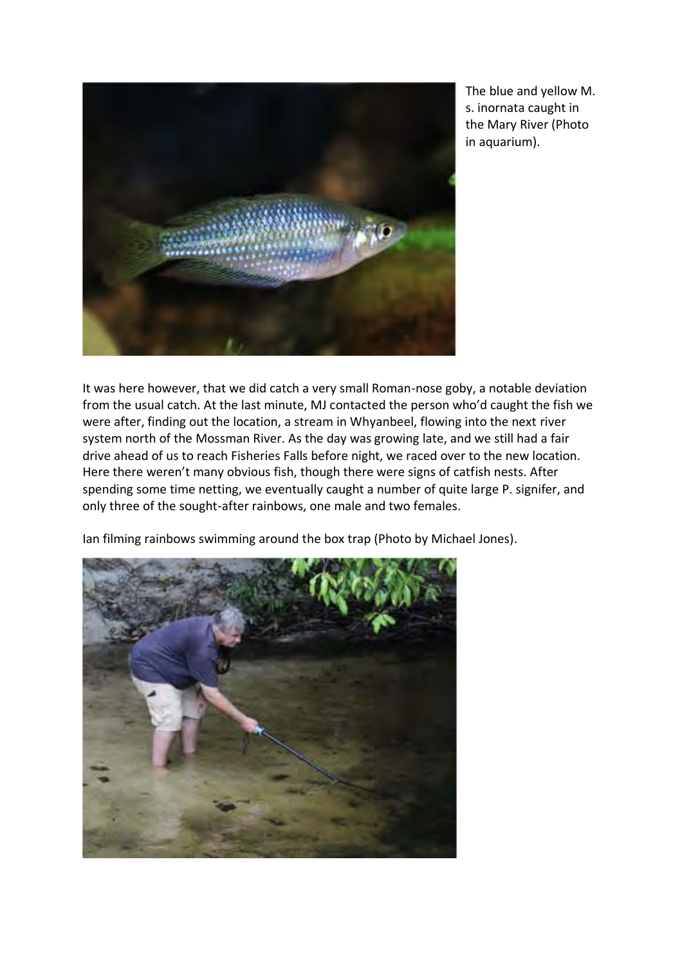

The blue and yellow M. s. inornata caught in the Mary River (Photo in aquarium).

It was here however, that we did catch a very small Roman-nose goby, a notable deviation from the usual catch. At the last minute, MJ contacted the person who'd caught the fish we were after, finding out the location, a stream in Whyanbeel, flowing into the next river system north of the Mossman River. As the day was growing late, and we still had a fair drive ahead of us to reach Fisheries Falls before night, we raced over to the new location. Here there weren't many obvious fish, though there were signs of catfish nests. After spending some time netting, we eventually caught a number of quite large P. signifer, and only three of the sought-after rainbows, one male and two females.

Ian filming rainbows swimming around the box trap (Photo by Michael Jones).

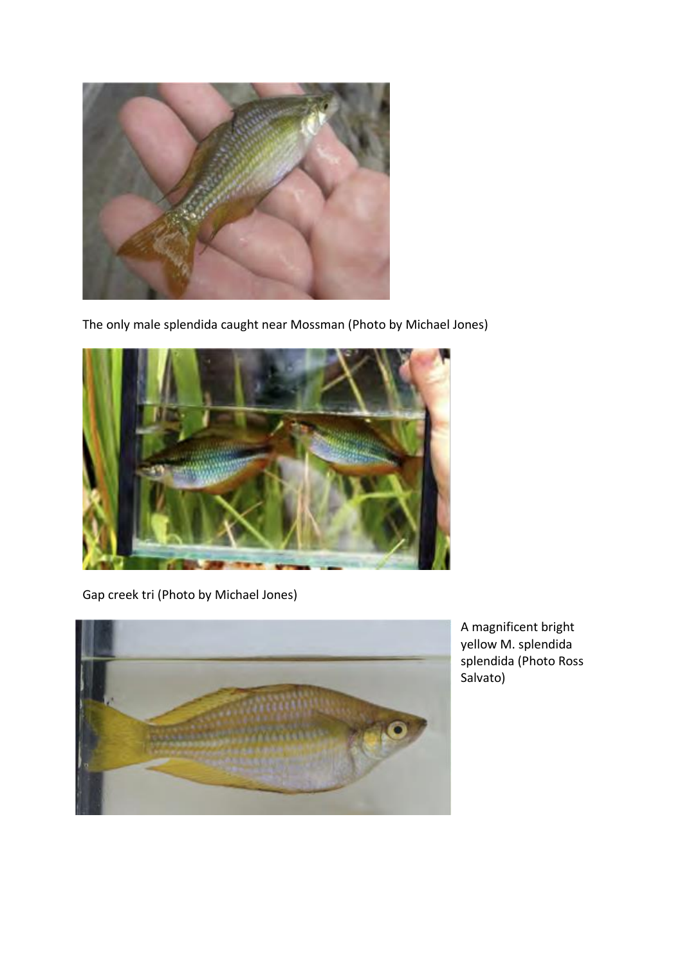

The only male splendida caught near Mossman (Photo by Michael Jones)



Gap creek tri (Photo by Michael Jones)



A magnificent bright yellow M. splendida splendida (Photo Ross Salvato)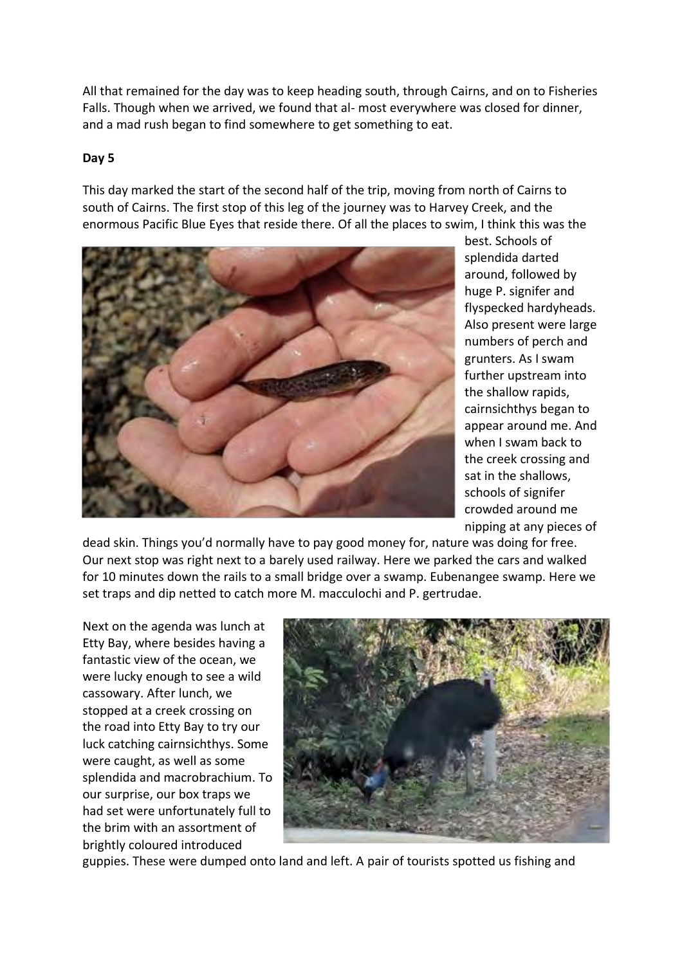All that remained for the day was to keep heading south, through Cairns, and on to Fisheries Falls. Though when we arrived, we found that al- most everywhere was closed for dinner, and a mad rush began to find somewhere to get something to eat.

## **Day 5**

This day marked the start of the second half of the trip, moving from north of Cairns to south of Cairns. The first stop of this leg of the journey was to Harvey Creek, and the enormous Pacific Blue Eyes that reside there. Of all the places to swim, I think this was the



best. Schools of splendida darted around, followed by huge P. signifer and flyspecked hardyheads. Also present were large numbers of perch and grunters. As I swam further upstream into the shallow rapids, cairnsichthys began to appear around me. And when I swam back to the creek crossing and sat in the shallows, schools of signifer crowded around me nipping at any pieces of

dead skin. Things you'd normally have to pay good money for, nature was doing for free. Our next stop was right next to a barely used railway. Here we parked the cars and walked for 10 minutes down the rails to a small bridge over a swamp. Eubenangee swamp. Here we set traps and dip netted to catch more M. macculochi and P. gertrudae.

Next on the agenda was lunch at Etty Bay, where besides having a fantastic view of the ocean, we were lucky enough to see a wild cassowary. After lunch, we stopped at a creek crossing on the road into Etty Bay to try our luck catching cairnsichthys. Some were caught, as well as some splendida and macrobrachium. To our surprise, our box traps we had set were unfortunately full to the brim with an assortment of brightly coloured introduced



guppies. These were dumped onto land and left. A pair of tourists spotted us fishing and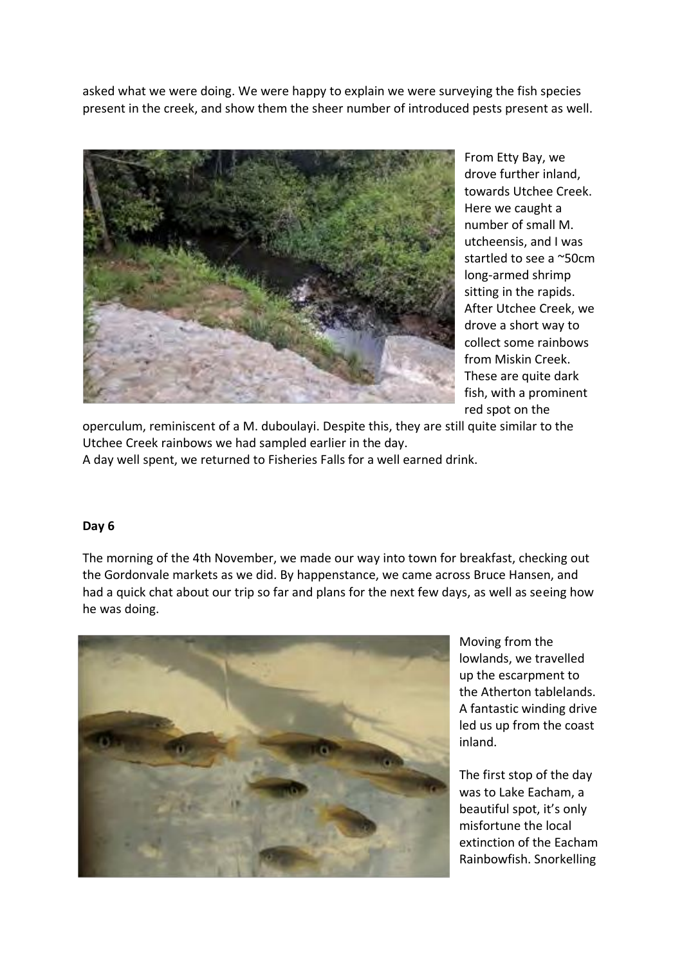asked what we were doing. We were happy to explain we were surveying the fish species present in the creek, and show them the sheer number of introduced pests present as well.



From Etty Bay, we drove further inland, towards Utchee Creek. Here we caught a number of small M. utcheensis, and I was startled to see a ~50cm long-armed shrimp sitting in the rapids. After Utchee Creek, we drove a short way to collect some rainbows from Miskin Creek. These are quite dark fish, with a prominent red spot on the

operculum, reminiscent of a M. duboulayi. Despite this, they are still quite similar to the Utchee Creek rainbows we had sampled earlier in the day.

A day well spent, we returned to Fisheries Falls for a well earned drink.

### **Day 6**

The morning of the 4th November, we made our way into town for breakfast, checking out the Gordonvale markets as we did. By happenstance, we came across Bruce Hansen, and had a quick chat about our trip so far and plans for the next few days, as well as seeing how he was doing.



Moving from the lowlands, we travelled up the escarpment to the Atherton tablelands. A fantastic winding drive led us up from the coast inland.

The first stop of the day was to Lake Eacham, a beautiful spot, it's only misfortune the local extinction of the Eacham Rainbowfish. Snorkelling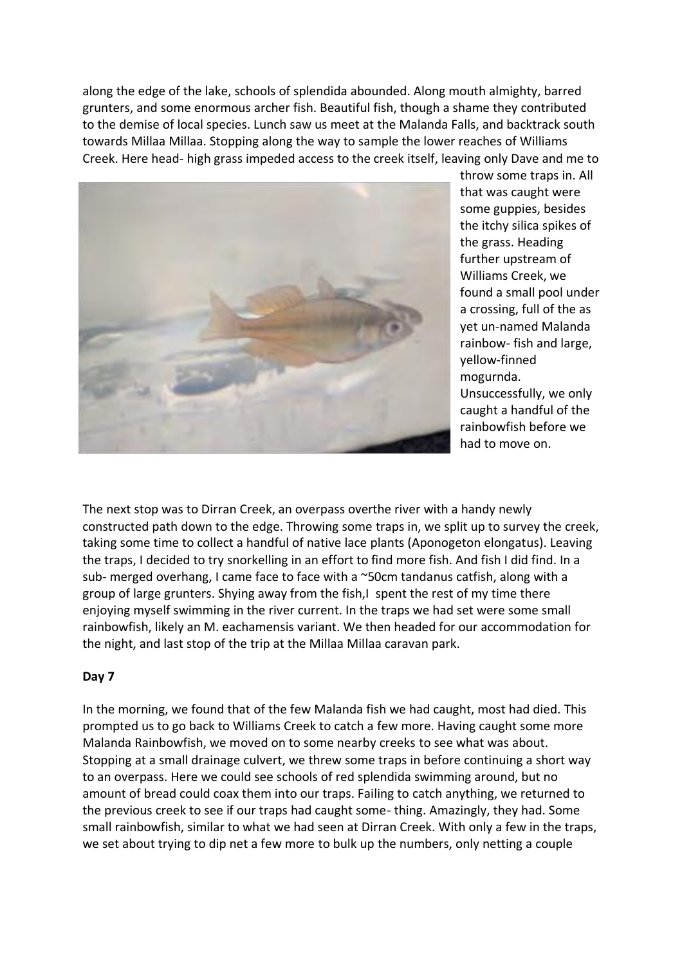along the edge of the lake, schools of splendida abounded. Along mouth almighty, barred grunters, and some enormous archer fish. Beautiful fish, though a shame they contributed to the demise of local species. Lunch saw us meet at the Malanda Falls, and backtrack south towards Millaa Millaa. Stopping along the way to sample the lower reaches of Williams Creek. Here head- high grass impeded access to the creek itself, leaving only Dave and me to



throw some traps in. All that was caught were some guppies, besides the itchy silica spikes of the grass. Heading further upstream of Williams Creek, we found a small pool under a crossing, full of the as yet un-named Malanda rainbow- fish and large, yellow-finned mogurnda. Unsuccessfully, we only caught a handful of the rainbowfish before we had to move on.

The next stop was to Dirran Creek, an overpass overthe river with a handy newly constructed path down to the edge. Throwing some traps in, we split up to survey the creek, taking some time to collect a handful of native lace plants (Aponogeton elongatus). Leaving the traps, I decided to try snorkelling in an effort to find more fish. And fish I did find. In a sub- merged overhang, I came face to face with a ~50cm tandanus catfish, along with a group of large grunters. Shying away from the fish, I spent the rest of my time there enjoying myself swimming in the river current. In the traps we had set were some small rainbowfish, likely an M. eachamensis variant. We then headed for our accommodation for the night, and last stop of the trip at the Millaa Millaa caravan park.

### **Day 7**

In the morning, we found that of the few Malanda fish we had caught, most had died. This prompted us to go back to Williams Creek to catch a few more. Having caught some more Malanda Rainbowfish, we moved on to some nearby creeks to see what was about. Stopping at a small drainage culvert, we threw some traps in before continuing a short way to an overpass. Here we could see schools of red splendida swimming around, but no amount of bread could coax them into our traps. Failing to catch anything, we returned to the previous creek to see if our traps had caught some- thing. Amazingly, they had. Some small rainbowfish, similar to what we had seen at Dirran Creek. With only a few in the traps, we set about trying to dip net a few more to bulk up the numbers, only netting a couple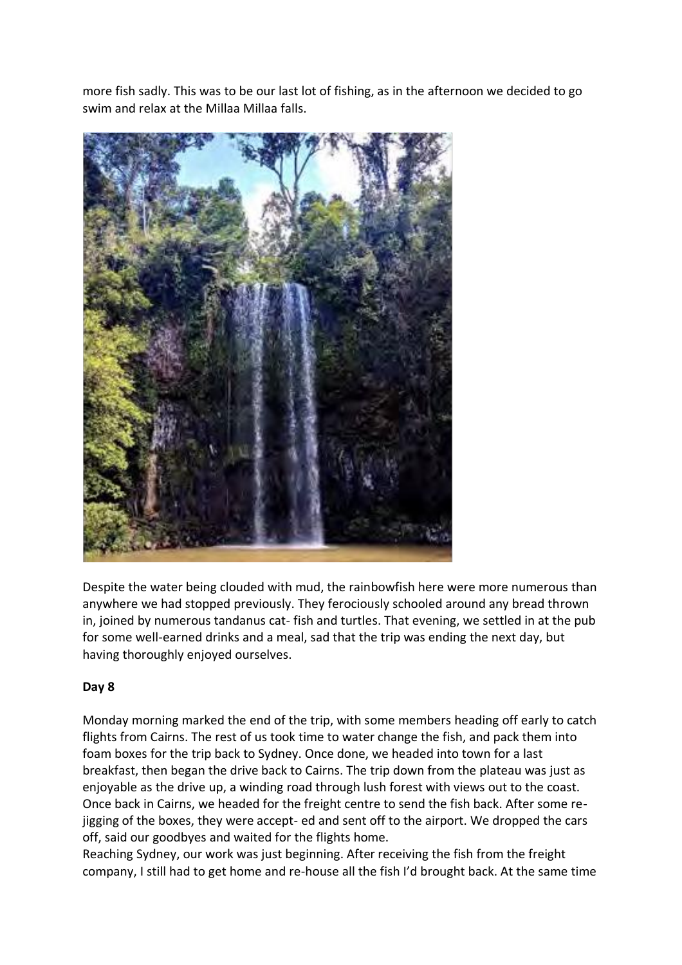more fish sadly. This was to be our last lot of fishing, as in the afternoon we decided to go swim and relax at the Millaa Millaa falls.



Despite the water being clouded with mud, the rainbowfish here were more numerous than anywhere we had stopped previously. They ferociously schooled around any bread thrown in, joined by numerous tandanus cat- fish and turtles. That evening, we settled in at the pub for some well-earned drinks and a meal, sad that the trip was ending the next day, but having thoroughly enjoyed ourselves.

## **Day 8**

Monday morning marked the end of the trip, with some members heading off early to catch flights from Cairns. The rest of us took time to water change the fish, and pack them into foam boxes for the trip back to Sydney. Once done, we headed into town for a last breakfast, then began the drive back to Cairns. The trip down from the plateau was just as enjoyable as the drive up, a winding road through lush forest with views out to the coast. Once back in Cairns, we headed for the freight centre to send the fish back. After some rejigging of the boxes, they were accept- ed and sent off to the airport. We dropped the cars off, said our goodbyes and waited for the flights home.

Reaching Sydney, our work was just beginning. After receiving the fish from the freight company, I still had to get home and re-house all the fish I'd brought back. At the same time